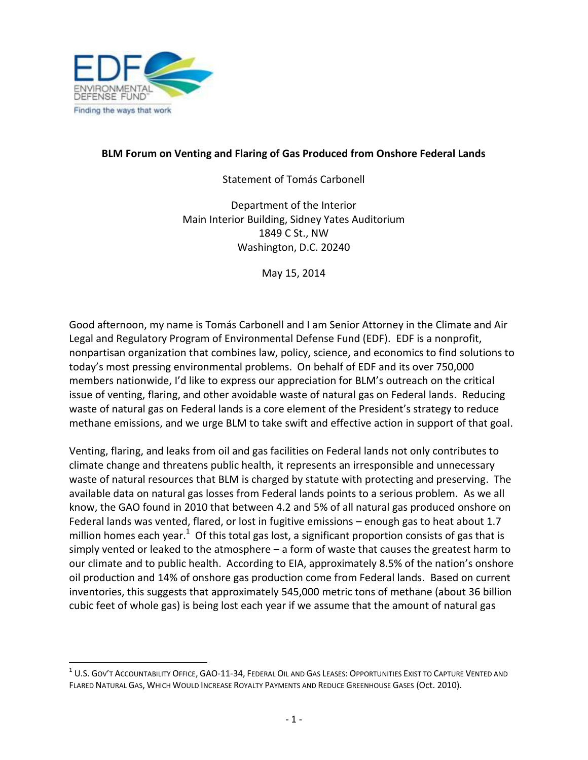

l

## **BLM Forum on Venting and Flaring of Gas Produced from Onshore Federal Lands**

Statement of Tomás Carbonell

Department of the Interior Main Interior Building, Sidney Yates Auditorium 1849 C St., NW Washington, D.C. 20240

May 15, 2014

Good afternoon, my name is Tomás Carbonell and I am Senior Attorney in the Climate and Air Legal and Regulatory Program of Environmental Defense Fund (EDF). EDF is a nonprofit, nonpartisan organization that combines law, policy, science, and economics to find solutions to today's most pressing environmental problems. On behalf of EDF and its over 750,000 members nationwide, I'd like to express our appreciation for BLM's outreach on the critical issue of venting, flaring, and other avoidable waste of natural gas on Federal lands. Reducing waste of natural gas on Federal lands is a core element of the President's strategy to reduce methane emissions, and we urge BLM to take swift and effective action in support of that goal.

Venting, flaring, and leaks from oil and gas facilities on Federal lands not only contributes to climate change and threatens public health, it represents an irresponsible and unnecessary waste of natural resources that BLM is charged by statute with protecting and preserving. The available data on natural gas losses from Federal lands points to a serious problem. As we all know, the GAO found in 2010 that between 4.2 and 5% of all natural gas produced onshore on Federal lands was vented, flared, or lost in fugitive emissions – enough gas to heat about 1.7 million homes each year. $^1$  Of this total gas lost, a significant proportion consists of gas that is simply vented or leaked to the atmosphere – a form of waste that causes the greatest harm to our climate and to public health. According to EIA, approximately 8.5% of the nation's onshore oil production and 14% of onshore gas production come from Federal lands. Based on current inventories, this suggests that approximately 545,000 metric tons of methane (about 36 billion cubic feet of whole gas) is being lost each year if we assume that the amount of natural gas

 $^{\rm 1}$  U.S. Gov't Accountability Office, GAO-11-34, Federal Oil and Gas Leases: Opportunities Exist to Capture Vented and FLARED NATURAL GAS, WHICH WOULD INCREASE ROYALTY PAYMENTS AND REDUCE GREENHOUSE GASES (Oct. 2010).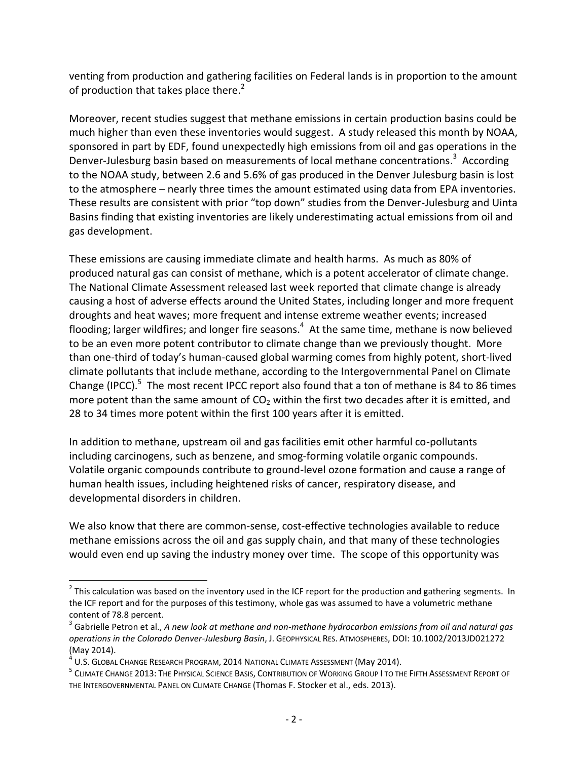venting from production and gathering facilities on Federal lands is in proportion to the amount of production that takes place there.<sup>2</sup>

Moreover, recent studies suggest that methane emissions in certain production basins could be much higher than even these inventories would suggest. A study released this month by NOAA, sponsored in part by EDF, found unexpectedly high emissions from oil and gas operations in the Denver-Julesburg basin based on measurements of local methane concentrations.<sup>3</sup> According to the NOAA study, between 2.6 and 5.6% of gas produced in the Denver Julesburg basin is lost to the atmosphere – nearly three times the amount estimated using data from EPA inventories. These results are consistent with prior "top down" studies from the Denver-Julesburg and Uinta Basins finding that existing inventories are likely underestimating actual emissions from oil and gas development.

These emissions are causing immediate climate and health harms. As much as 80% of produced natural gas can consist of methane, which is a potent accelerator of climate change. The National Climate Assessment released last week reported that climate change is already causing a host of adverse effects around the United States, including longer and more frequent droughts and heat waves; more frequent and intense extreme weather events; increased flooding; larger wildfires; and longer fire seasons.<sup>4</sup> At the same time, methane is now believed to be an even more potent contributor to climate change than we previously thought. More than one-third of today's human-caused global warming comes from highly potent, short-lived climate pollutants that include methane, according to the Intergovernmental Panel on Climate Change (IPCC).<sup>5</sup> The most recent IPCC report also found that a ton of methane is 84 to 86 times more potent than the same amount of  $CO<sub>2</sub>$  within the first two decades after it is emitted, and 28 to 34 times more potent within the first 100 years after it is emitted.

In addition to methane, upstream oil and gas facilities emit other harmful co-pollutants including carcinogens, such as benzene, and smog-forming volatile organic compounds. Volatile organic compounds contribute to ground-level ozone formation and cause a range of human health issues, including heightened risks of cancer, respiratory disease, and developmental disorders in children.

We also know that there are common-sense, cost-effective technologies available to reduce methane emissions across the oil and gas supply chain, and that many of these technologies would even end up saving the industry money over time. The scope of this opportunity was

l

 $^2$  This calculation was based on the inventory used in the ICF report for the production and gathering segments. In the ICF report and for the purposes of this testimony, whole gas was assumed to have a volumetric methane content of 78.8 percent.

<sup>3</sup> Gabrielle Petron et al., *A new look at methane and non-methane hydrocarbon emissions from oil and natural gas operations in the Colorado Denver-Julesburg Basin*, J. GEOPHYSICAL RES. ATMOSPHERES, DOI: 10.1002/2013JD021272 (May 2014).

 $^4$  U.S. Global Change Research Program, 2014 National Climate Assessment (May 2014).

<sup>&</sup>lt;sup>5</sup> Climate Change 2013: The Physical Science Basis, Contribution of Working Group I to the Fifth Assessment Report of THE INTERGOVERNMENTAL PANEL ON CLIMATE CHANGE (Thomas F. Stocker et al., eds. 2013).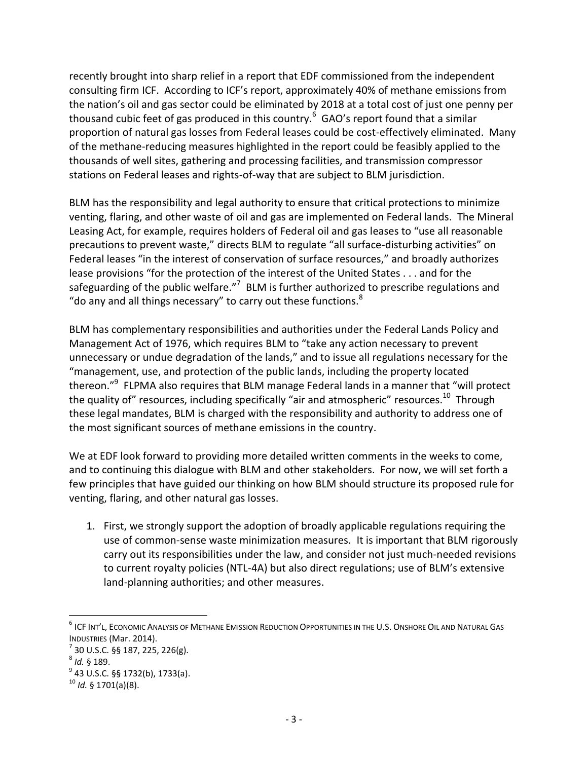recently brought into sharp relief in a report that EDF commissioned from the independent consulting firm ICF. According to ICF's report, approximately 40% of methane emissions from the nation's oil and gas sector could be eliminated by 2018 at a total cost of just one penny per thousand cubic feet of gas produced in this country.<sup>6</sup> GAO's report found that a similar proportion of natural gas losses from Federal leases could be cost-effectively eliminated. Many of the methane-reducing measures highlighted in the report could be feasibly applied to the thousands of well sites, gathering and processing facilities, and transmission compressor stations on Federal leases and rights-of-way that are subject to BLM jurisdiction.

BLM has the responsibility and legal authority to ensure that critical protections to minimize venting, flaring, and other waste of oil and gas are implemented on Federal lands. The Mineral Leasing Act, for example, requires holders of Federal oil and gas leases to "use all reasonable precautions to prevent waste," directs BLM to regulate "all surface-disturbing activities" on Federal leases "in the interest of conservation of surface resources," and broadly authorizes lease provisions "for the protection of the interest of the United States . . . and for the safeguarding of the public welfare."<sup>7</sup> BLM is further authorized to prescribe regulations and "do any and all things necessary" to carry out these functions. $8$ 

BLM has complementary responsibilities and authorities under the Federal Lands Policy and Management Act of 1976, which requires BLM to "take any action necessary to prevent unnecessary or undue degradation of the lands," and to issue all regulations necessary for the "management, use, and protection of the public lands, including the property located thereon."<sup>9</sup> FLPMA also requires that BLM manage Federal lands in a manner that "will protect the quality of" resources, including specifically "air and atmospheric" resources.<sup>10</sup> Through these legal mandates, BLM is charged with the responsibility and authority to address one of the most significant sources of methane emissions in the country.

We at EDF look forward to providing more detailed written comments in the weeks to come, and to continuing this dialogue with BLM and other stakeholders. For now, we will set forth a few principles that have guided our thinking on how BLM should structure its proposed rule for venting, flaring, and other natural gas losses.

1. First, we strongly support the adoption of broadly applicable regulations requiring the use of common-sense waste minimization measures. It is important that BLM rigorously carry out its responsibilities under the law, and consider not just much-needed revisions to current royalty policies (NTL-4A) but also direct regulations; use of BLM's extensive land-planning authorities; and other measures.

 $\overline{a}$ 

 $^6$  ICF Int'l, Economic Analysis of Methane Emission Reduction Opportunities in the U.S. Onshore Oil and Natural Gas INDUSTRIES (Mar. 2014).

 $^7$  30 U.S.C. §§ 187, 225, 226(g).

<sup>8</sup> *Id.* § 189.

<sup>&</sup>lt;sup>9</sup> 43 U.S.C. §§ 1732(b), 1733(a).

<sup>10</sup> *Id.* § 1701(a)(8).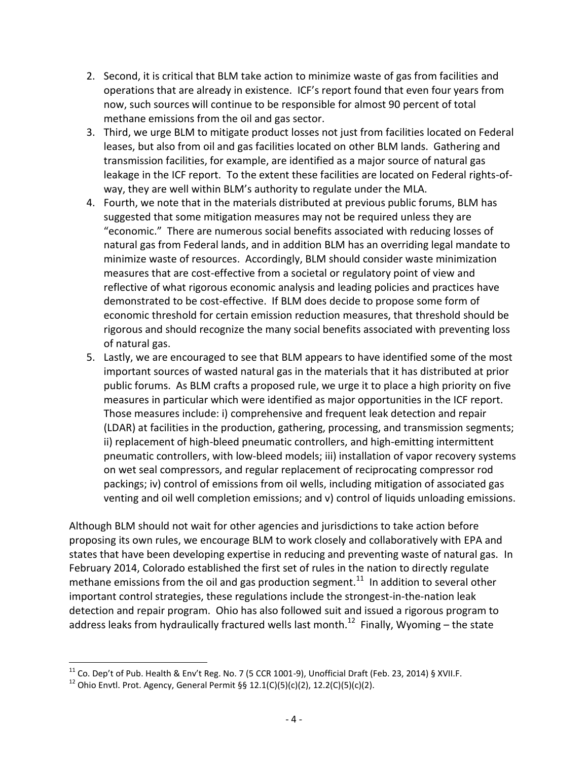- 2. Second, it is critical that BLM take action to minimize waste of gas from facilities and operations that are already in existence. ICF's report found that even four years from now, such sources will continue to be responsible for almost 90 percent of total methane emissions from the oil and gas sector.
- 3. Third, we urge BLM to mitigate product losses not just from facilities located on Federal leases, but also from oil and gas facilities located on other BLM lands. Gathering and transmission facilities, for example, are identified as a major source of natural gas leakage in the ICF report. To the extent these facilities are located on Federal rights-ofway, they are well within BLM's authority to regulate under the MLA.
- 4. Fourth, we note that in the materials distributed at previous public forums, BLM has suggested that some mitigation measures may not be required unless they are "economic." There are numerous social benefits associated with reducing losses of natural gas from Federal lands, and in addition BLM has an overriding legal mandate to minimize waste of resources. Accordingly, BLM should consider waste minimization measures that are cost-effective from a societal or regulatory point of view and reflective of what rigorous economic analysis and leading policies and practices have demonstrated to be cost-effective. If BLM does decide to propose some form of economic threshold for certain emission reduction measures, that threshold should be rigorous and should recognize the many social benefits associated with preventing loss of natural gas.
- 5. Lastly, we are encouraged to see that BLM appears to have identified some of the most important sources of wasted natural gas in the materials that it has distributed at prior public forums. As BLM crafts a proposed rule, we urge it to place a high priority on five measures in particular which were identified as major opportunities in the ICF report. Those measures include: i) comprehensive and frequent leak detection and repair (LDAR) at facilities in the production, gathering, processing, and transmission segments; ii) replacement of high-bleed pneumatic controllers, and high-emitting intermittent pneumatic controllers, with low-bleed models; iii) installation of vapor recovery systems on wet seal compressors, and regular replacement of reciprocating compressor rod packings; iv) control of emissions from oil wells, including mitigation of associated gas venting and oil well completion emissions; and v) control of liquids unloading emissions.

Although BLM should not wait for other agencies and jurisdictions to take action before proposing its own rules, we encourage BLM to work closely and collaboratively with EPA and states that have been developing expertise in reducing and preventing waste of natural gas. In February 2014, Colorado established the first set of rules in the nation to directly regulate methane emissions from the oil and gas production segment.<sup>11</sup> In addition to several other important control strategies, these regulations include the strongest-in-the-nation leak detection and repair program. Ohio has also followed suit and issued a rigorous program to address leaks from hydraulically fractured wells last month.<sup>12</sup> Finally, Wyoming – the state

l  $^{11}$  Co. Dep't of Pub. Health & Env't Reg. No. 7 (5 CCR 1001-9), Unofficial Draft (Feb. 23, 2014) § XVII.F.

<sup>12</sup> Ohio Envtl. Prot. Agency, General Permit §§ 12.1(C)(5)(c)(2), 12.2(C)(5)(c)(2).